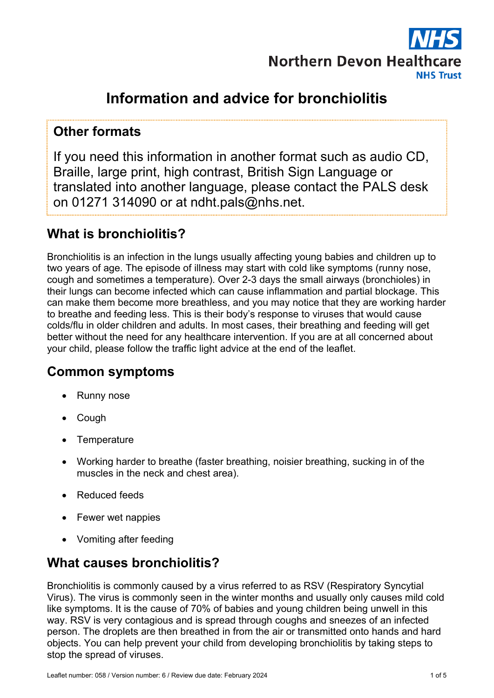

# **Information and advice for bronchiolitis**

#### **Other formats**

If you need this information in another format such as audio CD, Braille, large print, high contrast, British Sign Language or translated into another language, please contact the PALS desk on 01271 314090 or at ndht.pals@nhs.net.

### **What is bronchiolitis?**

Bronchiolitis is an infection in the lungs usually affecting young babies and children up to two years of age. The episode of illness may start with cold like symptoms (runny nose, cough and sometimes a temperature). Over 2-3 days the small airways (bronchioles) in their lungs can become infected which can cause inflammation and partial blockage. This can make them become more breathless, and you may notice that they are working harder to breathe and feeding less. This is their body's response to viruses that would cause colds/flu in older children and adults. In most cases, their breathing and feeding will get better without the need for any healthcare intervention. If you are at all concerned about your child, please follow the traffic light advice at the end of the leaflet.

#### **Common symptoms**

- Runny nose
- Cough
- **Temperature**
- Working harder to breathe (faster breathing, noisier breathing, sucking in of the muscles in the neck and chest area).
- Reduced feeds
- Fewer wet nappies
- Vomiting after feeding

### **What causes bronchiolitis?**

Bronchiolitis is commonly caused by a virus referred to as RSV (Respiratory Syncytial Virus). The virus is commonly seen in the winter months and usually only causes mild cold like symptoms. It is the cause of 70% of babies and young children being unwell in this way. RSV is very contagious and is spread through coughs and sneezes of an infected person. The droplets are then breathed in from the air or transmitted onto hands and hard objects. You can help prevent your child from developing bronchiolitis by taking steps to stop the spread of viruses.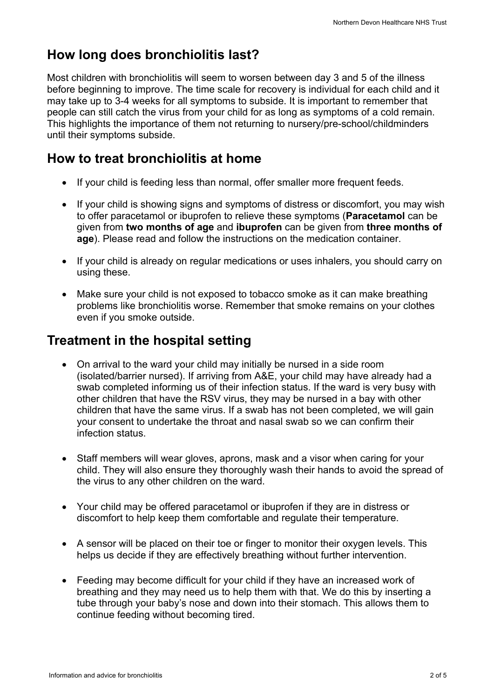# **How long does bronchiolitis last?**

Most children with bronchiolitis will seem to worsen between day 3 and 5 of the illness before beginning to improve. The time scale for recovery is individual for each child and it may take up to 3-4 weeks for all symptoms to subside. It is important to remember that people can still catch the virus from your child for as long as symptoms of a cold remain. This highlights the importance of them not returning to nursery/pre-school/childminders until their symptoms subside.

# **How to treat bronchiolitis at home**

- If your child is feeding less than normal, offer smaller more frequent feeds.
- If your child is showing signs and symptoms of distress or discomfort, you may wish to offer paracetamol or ibuprofen to relieve these symptoms (**Paracetamol** can be given from **two months of age** and **ibuprofen** can be given from **three months of age**). Please read and follow the instructions on the medication container.
- If your child is already on regular medications or uses inhalers, you should carry on using these.
- Make sure your child is not exposed to tobacco smoke as it can make breathing problems like bronchiolitis worse. Remember that smoke remains on your clothes even if you smoke outside.

### **Treatment in the hospital setting**

- On arrival to the ward your child may initially be nursed in a side room (isolated/barrier nursed). If arriving from A&E, your child may have already had a swab completed informing us of their infection status. If the ward is very busy with other children that have the RSV virus, they may be nursed in a bay with other children that have the same virus. If a swab has not been completed, we will gain your consent to undertake the throat and nasal swab so we can confirm their infection status.
- Staff members will wear gloves, aprons, mask and a visor when caring for your child. They will also ensure they thoroughly wash their hands to avoid the spread of the virus to any other children on the ward.
- Your child may be offered paracetamol or ibuprofen if they are in distress or discomfort to help keep them comfortable and regulate their temperature.
- A sensor will be placed on their toe or finger to monitor their oxygen levels. This helps us decide if they are effectively breathing without further intervention.
- Feeding may become difficult for your child if they have an increased work of breathing and they may need us to help them with that. We do this by inserting a tube through your baby's nose and down into their stomach. This allows them to continue feeding without becoming tired.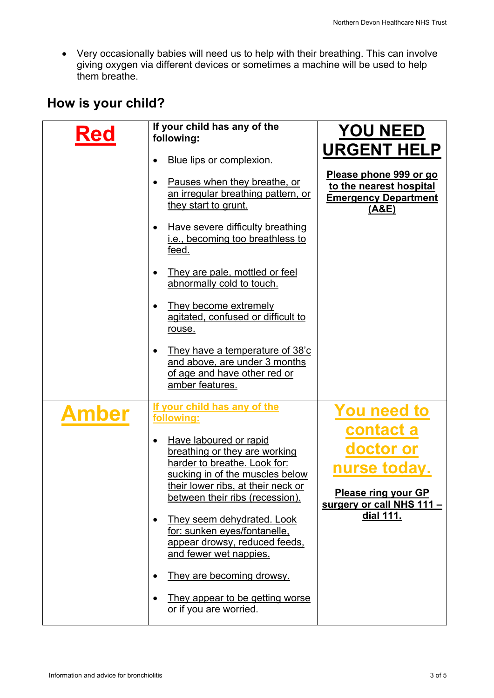Very occasionally babies will need us to help with their breathing. This can involve giving oxygen via different devices or sometimes a machine will be used to help them breathe.

# **How is your child?**

| <b>Red</b>   | If your child has any of the<br>following:                                                                                                                                                                                                                                                                                                                                                                                                                           | <b>YOU NEED</b>                                                                                                               |
|--------------|----------------------------------------------------------------------------------------------------------------------------------------------------------------------------------------------------------------------------------------------------------------------------------------------------------------------------------------------------------------------------------------------------------------------------------------------------------------------|-------------------------------------------------------------------------------------------------------------------------------|
|              | Blue lips or complexion.<br>Pauses when they breathe, or<br>an irregular breathing pattern, or<br>they start to grunt.<br>Have severe difficulty breathing<br>i.e., becoming too breathless to<br>feed.<br>They are pale, mottled or feel<br>abnormally cold to touch.<br>They become extremely<br>agitated, confused or difficult to<br>rouse.                                                                                                                      | <b>URGENT HELP</b><br>Please phone 999 or go<br>to the nearest hospital<br><b>Emergency Department</b><br><u>(A&amp;E)</u>    |
|              | They have a temperature of 38'c<br>and above, are under 3 months<br>of age and have other red or<br>amber features.                                                                                                                                                                                                                                                                                                                                                  |                                                                                                                               |
| <b>Amber</b> | If your child has any of the<br>following:<br>Have laboured or rapid<br>breathing or they are working<br>harder to breathe. Look for:<br>sucking in of the muscles below<br>their lower ribs, at their neck or<br>between their ribs (recession).<br>They seem dehydrated. Look<br>for: sunken eyes/fontanelle,<br>appear drowsy, reduced feeds,<br>and fewer wet nappies.<br>They are becoming drowsy.<br>They appear to be getting worse<br>or if you are worried. | <b>You need to</b><br>contact a<br>doctor or<br>nurse today.<br>Please ring your GP<br>surgery or call NHS 111 -<br>dial 111. |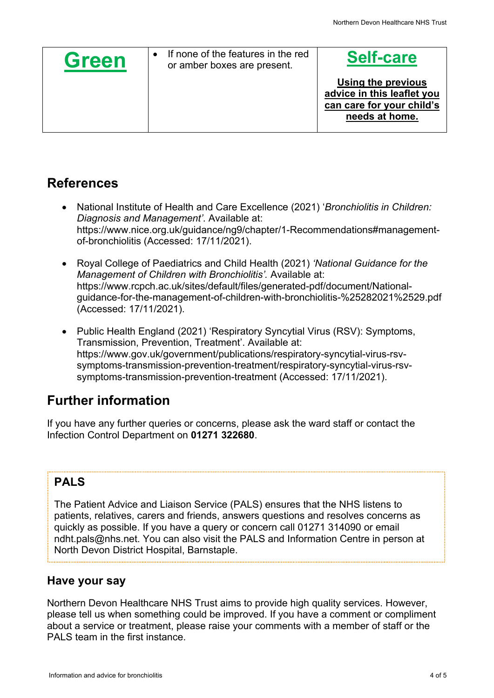| <b>Green</b> | If none of the features in the red<br>or amber boxes are present. | <b>Self-care</b>                                                                                |
|--------------|-------------------------------------------------------------------|-------------------------------------------------------------------------------------------------|
|              |                                                                   | Using the previous<br>advice in this leaflet you<br>can care for your child's<br>needs at home. |

### **References**

- National Institute of Health and Care Excellence (2021) '*Bronchiolitis in Children: Diagnosis and Management'*. Available at: https://www.nice.org.uk/guidance/ng9/chapter/1-Recommendations#managementof-bronchiolitis (Accessed: 17/11/2021).
- Royal College of Paediatrics and Child Health (2021) *'National Guidance for the Management of Children with Bronchiolitis'.* Available at: https://www.rcpch.ac.uk/sites/default/files/generated-pdf/document/Nationalguidance-for-the-management-of-children-with-bronchiolitis-%25282021%2529.pdf (Accessed: 17/11/2021).
- Public Health England (2021) 'Respiratory Syncytial Virus (RSV): Symptoms, Transmission, Prevention, Treatment'. Available at: https://www.gov.uk/government/publications/respiratory-syncytial-virus-rsvsymptoms-transmission-prevention-treatment/respiratory-syncytial-virus-rsvsymptoms-transmission-prevention-treatment (Accessed: 17/11/2021).

# **Further information**

If you have any further queries or concerns, please ask the ward staff or contact the Infection Control Department on **01271 322680**.

## **PALS**

The Patient Advice and Liaison Service (PALS) ensures that the NHS listens to patients, relatives, carers and friends, answers questions and resolves concerns as quickly as possible. If you have a query or concern call 01271 314090 or email ndht.pals@nhs.net. You can also visit the PALS and Information Centre in person at North Devon District Hospital, Barnstaple.

#### **Have your say**

Northern Devon Healthcare NHS Trust aims to provide high quality services. However, please tell us when something could be improved. If you have a comment or compliment about a service or treatment, please raise your comments with a member of staff or the PALS team in the first instance.